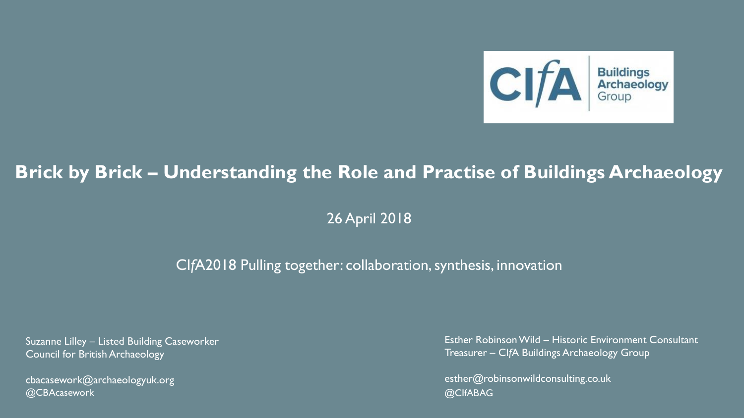

## **Brick by Brick – Understanding the Role and Practise of Buildings Archaeology**

26 April 2018

#### CI*f*A2018 Pulling together: collaboration, synthesis, innovation

Suzanne Lilley – Listed Building Caseworker Council for British Archaeology

cbacasework@archaeologyuk.org @CBAcasework @CIfABAG

Esther Robinson Wild – Historic Environment Consultant Treasurer – CI*f*A Buildings Archaeology Group

esther@robinsonwildconsulting.co.uk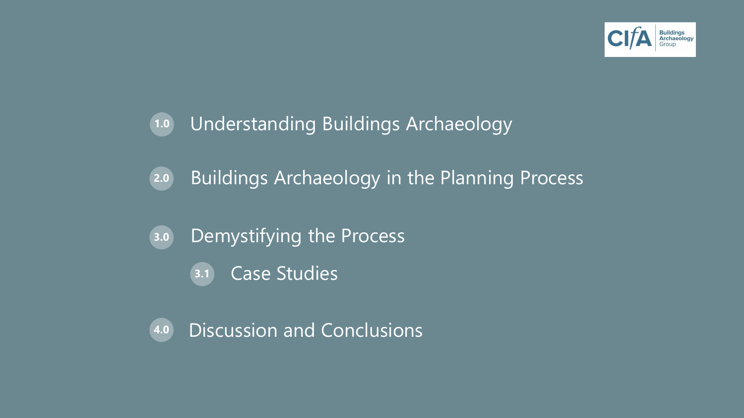

# **1.0** Understanding Buildings Archaeology

- **2.0** Buildings Archaeology in the Planning Process
- **3.0** Demystifying the Process
	- **3.1** Case Studies
- **4.0** Discussion and Conclusions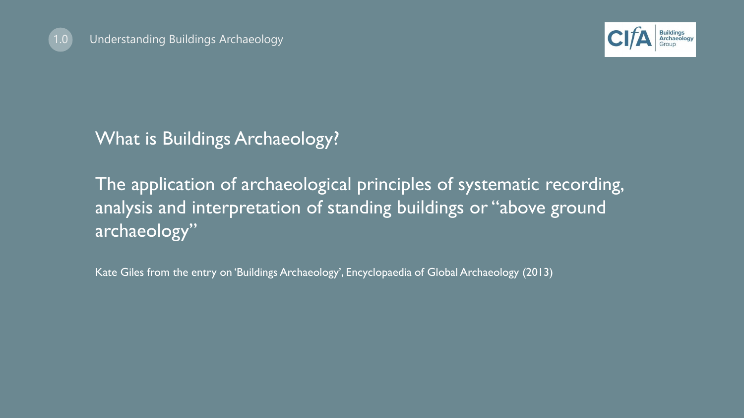



What is Buildings Archaeology?

The application of archaeological principles of systematic recording, analysis and interpretation of standing buildings or "above ground archaeology"

Kate Giles from the entry on 'Buildings Archaeology', Encyclopaedia of Global Archaeology (2013)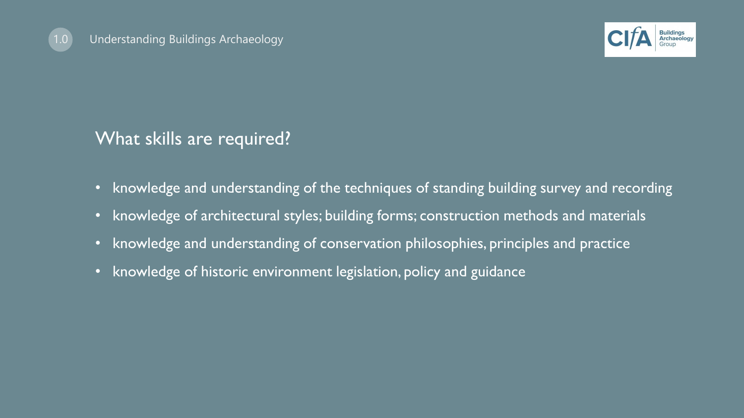



## What skills are required?

- knowledge and understanding of the techniques of standing building survey and recording
- knowledge of architectural styles; building forms; construction methods and materials
- knowledge and understanding of conservation philosophies, principles and practice
- knowledge of historic environment legislation, policy and guidance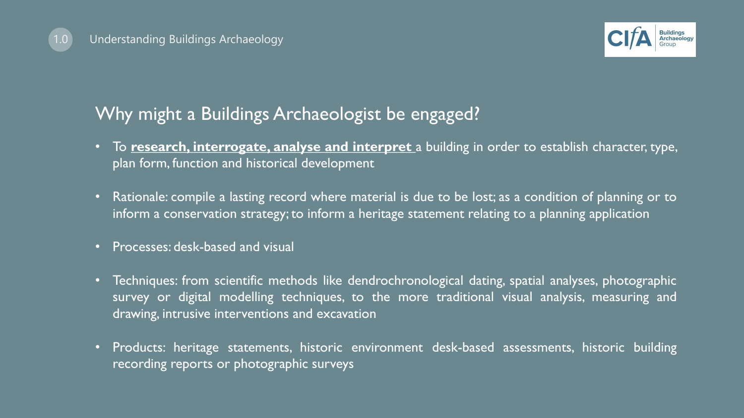

## Why might a Buildings Archaeologist be engaged?

- To **research, interrogate, analyse and interpret** a building in order to establish character, type, plan form, function and historical development
- Rationale: compile a lasting record where material is due to be lost; as a condition of planning or to inform a conservation strategy; to inform a heritage statement relating to a planning application
- Processes: desk-based and visual
- Techniques: from scientific methods like dendrochronological dating, spatial analyses, photographic survey or digital modelling techniques, to the more traditional visual analysis, measuring and drawing, intrusive interventions and excavation
- Products: heritage statements, historic environment desk-based assessments, historic building recording reports or photographic surveys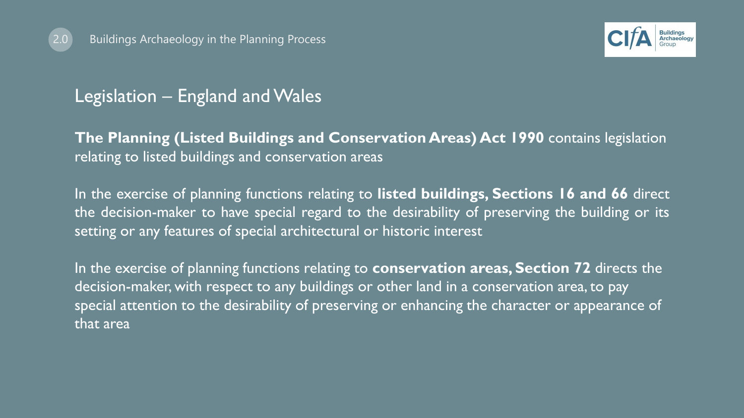



### Legislation – England and Wales

**The Planning (Listed Buildings and Conservation Areas) Act 1990** contains legislation relating to listed buildings and conservation areas

In the exercise of planning functions relating to **listed buildings, Sections 16 and 66** direct the decision-maker to have special regard to the desirability of preserving the building or its setting or any features of special architectural or historic interest

In the exercise of planning functions relating to **conservation areas, Section 72** directs the decision-maker, with respect to any buildings or other land in a conservation area, to pay special attention to the desirability of preserving or enhancing the character or appearance of that area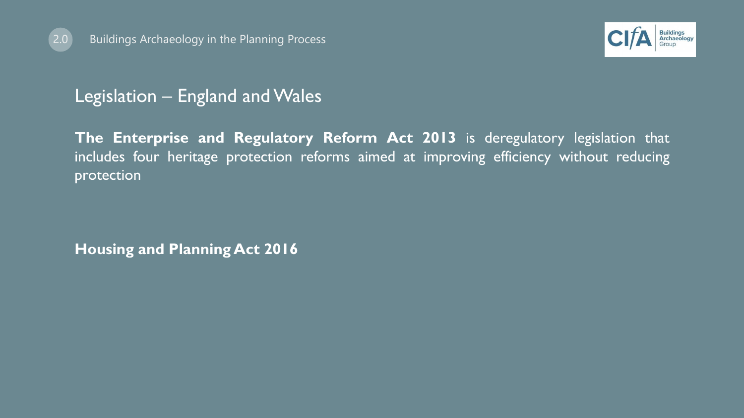



## Legislation – England and Wales

**The Enterprise and Regulatory Reform Act 2013** is deregulatory legislation that includes four heritage protection reforms aimed at improving efficiency without reducing protection

**Housing and Planning Act 2016**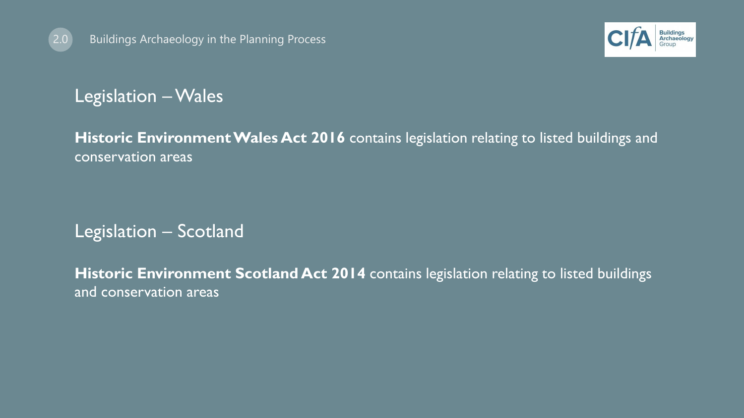



## Legislation –Wales

**Historic Environment Wales Act 2016** contains legislation relating to listed buildings and conservation areas

## Legislation – Scotland

**Historic Environment Scotland Act 2014** contains legislation relating to listed buildings and conservation areas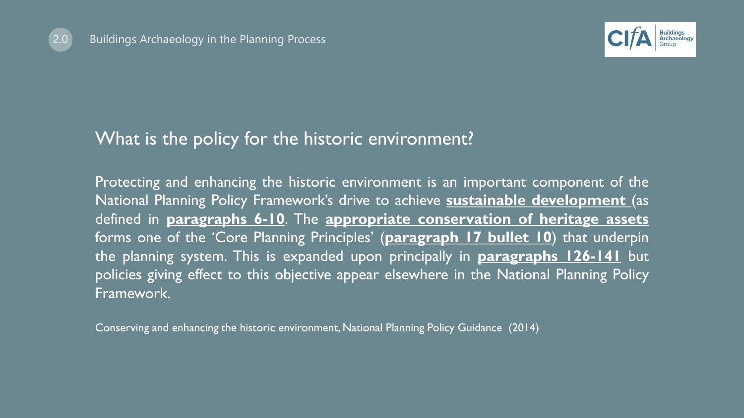



#### What is the policy for the historic environment?

Protecting and enhancing the historic environment is an important component of the National Planning Policy Framework's drive to achieve **sustainable development** (as defined in **paragraphs 6-10**. The **appropriate conservation of heritage assets** forms one of the 'Core Planning Principles' (**paragraph 17 bullet 10**) that underpin the planning system. This is expanded upon principally in **paragraphs 126-141** but policies giving effect to this objective appear elsewhere in the National Planning Policy Framework.

Conserving and enhancing the historic environment, National Planning Policy Guidance (2014)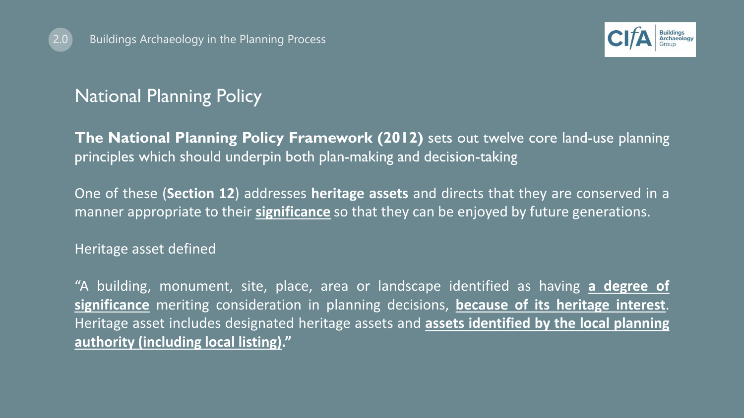



## National Planning Policy

**The National Planning Policy Framework (2012)** sets out twelve core land-use planning principles which should underpin both plan-making and decision-taking

One of these (**Section 12**) addresses **heritage assets** and directs that they are conserved in a manner appropriate to their **significance** so that they can be enjoyed by future generations.

Heritage asset defined

"A building, monument, site, place, area or landscape identified as having **a degree of significance** meriting consideration in planning decisions, **because of its heritage interest**. Heritage asset includes designated heritage assets and **assets identified by the local planning authority (including local listing)."**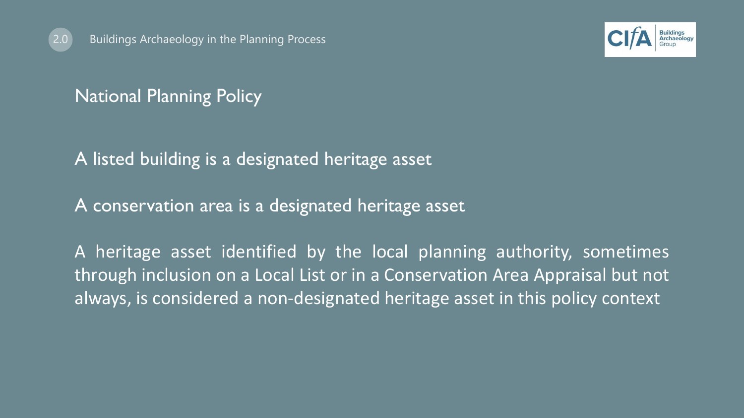



## National Planning Policy

#### A listed building is a designated heritage asset

A conservation area is a designated heritage asset

A heritage asset identified by the local planning authority, sometimes through inclusion on a Local List or in a Conservation Area Appraisal but not always, is considered a non-designated heritage asset in this policy context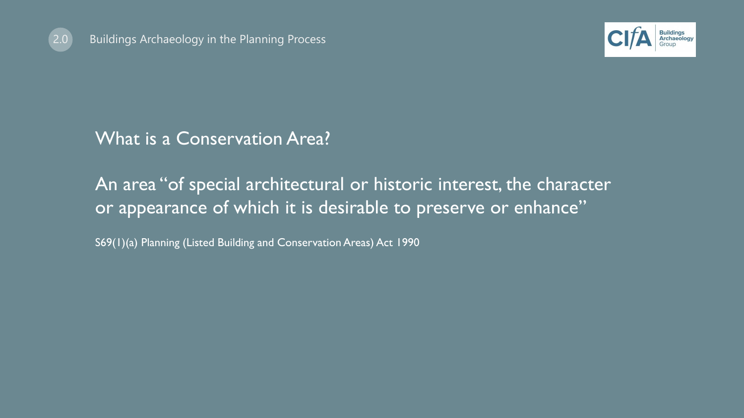



## What is a Conservation Area?

## An area "of special architectural or historic interest, the character or appearance of which it is desirable to preserve or enhance"

S69(1)(a) Planning (Listed Building and Conservation Areas) Act 1990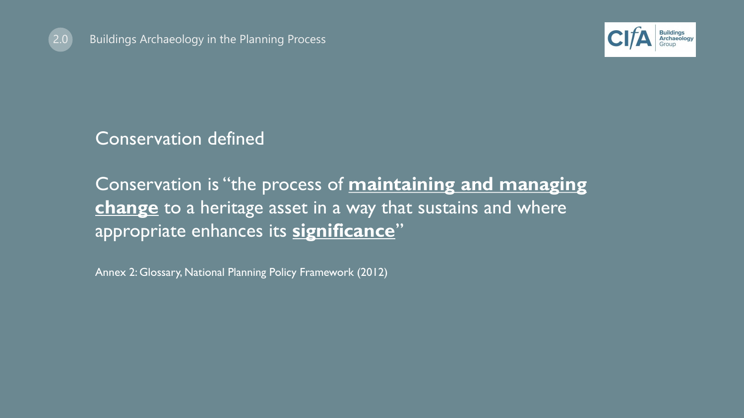



Conservation defined

Conservation is "the process of **maintaining and managing change** to a heritage asset in a way that sustains and where appropriate enhances its **significance**"

Annex 2: Glossary, National Planning Policy Framework (2012)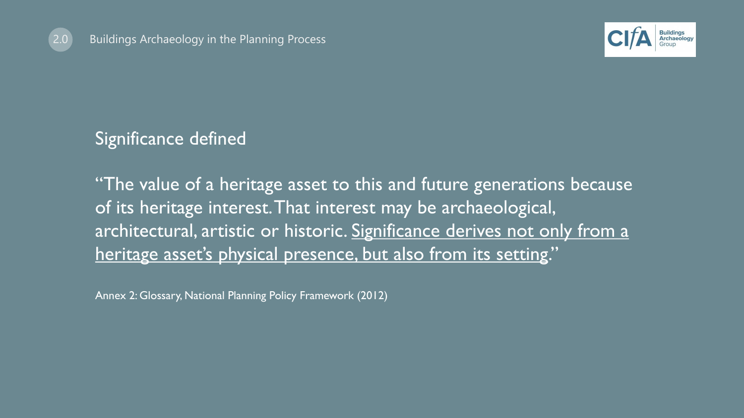



Significance defined

"The value of a heritage asset to this and future generations because of its heritage interest. That interest may be archaeological, architectural, artistic or historic. Significance derives not only from a heritage asset's physical presence, but also from its setting."

Annex 2: Glossary, National Planning Policy Framework (2012)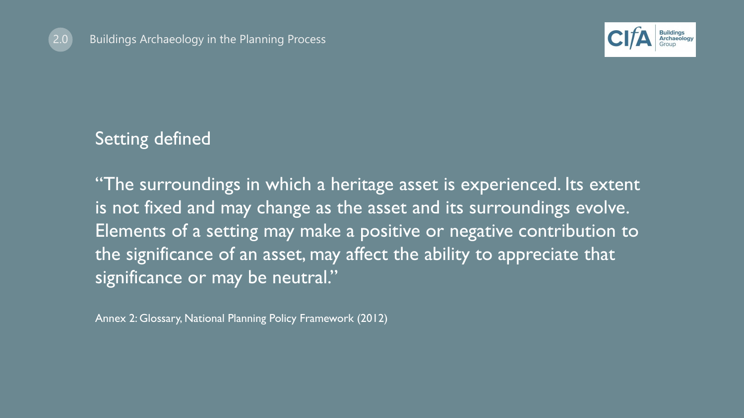



### Setting defined

"The surroundings in which a heritage asset is experienced. Its extent is not fixed and may change as the asset and its surroundings evolve. Elements of a setting may make a positive or negative contribution to the significance of an asset, may affect the ability to appreciate that significance or may be neutral."

Annex 2: Glossary, National Planning Policy Framework (2012)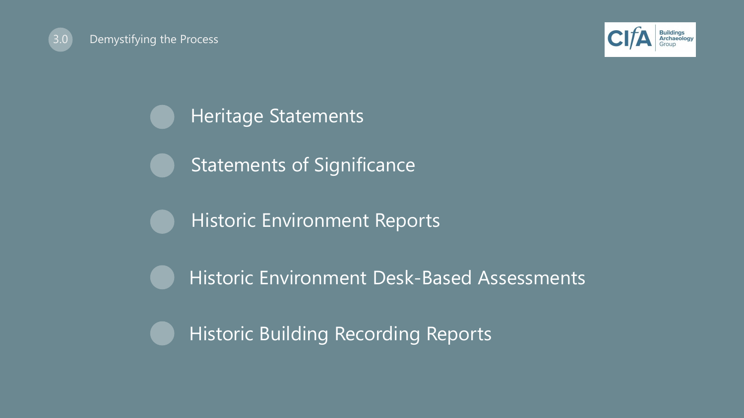



Heritage Statements

Statements of Significance

Historic Environment Reports

Historic Environment Desk-Based Assessments

Historic Building Recording Reports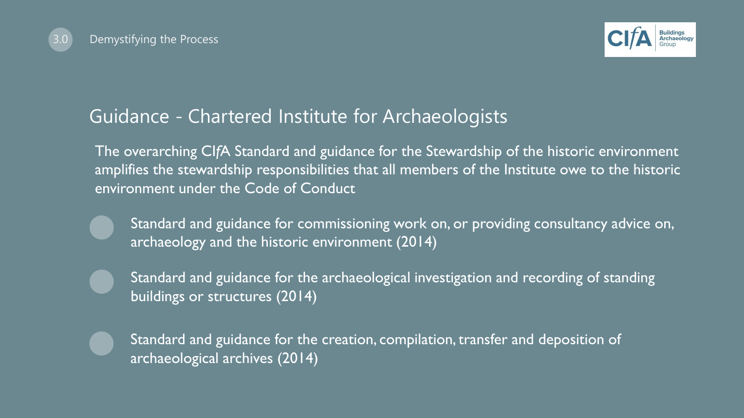



## Guidance - Chartered Institute for Archaeologists

The overarching CI*f*A Standard and guidance for the Stewardship of the historic environment amplifies the stewardship responsibilities that all members of the Institute owe to the historic environment under the Code of Conduct

- Standard and guidance for commissioning work on, or providing consultancy advice on, archaeology and the historic environment (2014)
- Standard and guidance for the archaeological investigation and recording of standing buildings or structures (2014)
- Standard and guidance for the creation, compilation, transfer and deposition of archaeological archives (2014)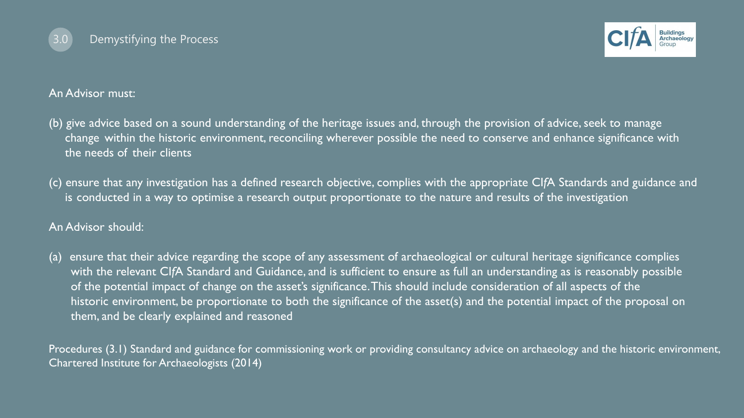



#### An Advisor must:

- (b) give advice based on a sound understanding of the heritage issues and, through the provision of advice, seek to manage change within the historic environment, reconciling wherever possible the need to conserve and enhance significance with the needs of their clients
- (c) ensure that any investigation has a defined research objective, complies with the appropriate CI*f*A Standards and guidance and is conducted in a way to optimise a research output proportionate to the nature and results of the investigation

#### An Advisor should:

(a) ensure that their advice regarding the scope of any assessment of archaeological or cultural heritage significance complies with the relevant CI*f*A Standard and Guidance, and is sufficient to ensure as full an understanding as is reasonably possible of the potential impact of change on the asset's significance.This should include consideration of all aspects of the historic environment, be proportionate to both the significance of the asset(s) and the potential impact of the proposal on them, and be clearly explained and reasoned

Procedures (3.1) Standard and guidance for commissioning work or providing consultancy advice on archaeology and the historic environment, Chartered Institute for Archaeologists (2014)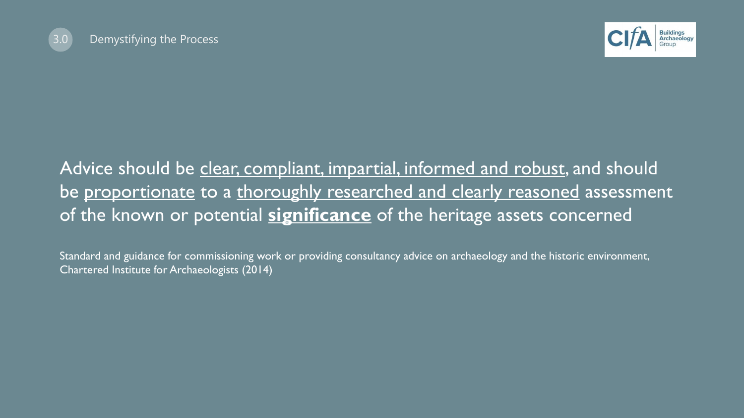



## Advice should be clear, compliant, impartial, informed and robust, and should be proportionate to a thoroughly researched and clearly reasoned assessment of the known or potential **significance** of the heritage assets concerned

Standard and guidance for commissioning work or providing consultancy advice on archaeology and the historic environment, Chartered Institute for Archaeologists (2014)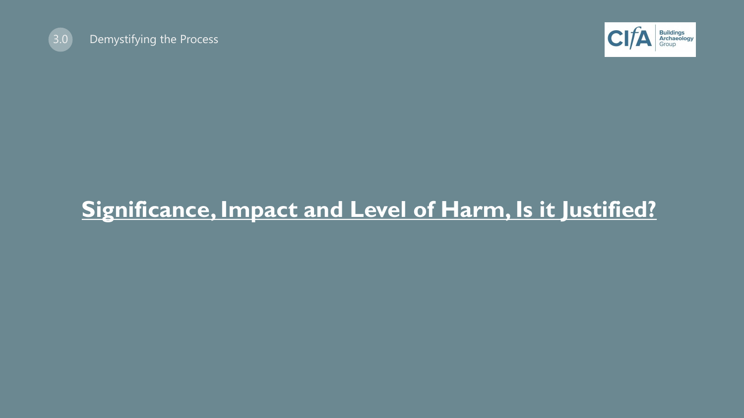



# **Significance, Impact and Level of Harm, Is it Justified?**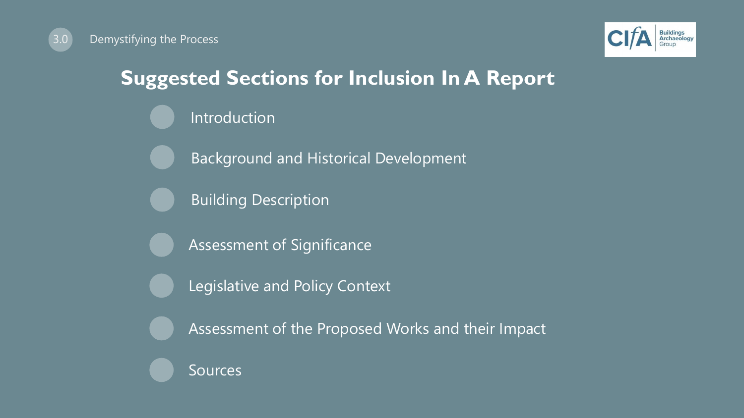

# **Suggested Sections for Inclusion In A Report**

- Introduction
- Background and Historical Development
- Building Description
- Assessment of Significance
- Legislative and Policy Context
- Assessment of the Proposed Works and their Impact
- Sources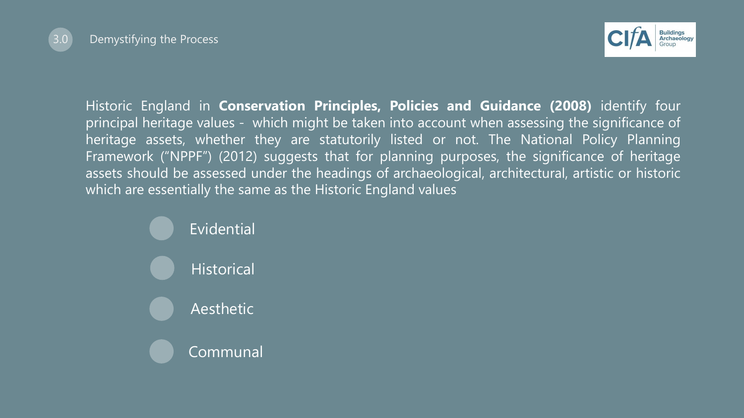



Historic England in **Conservation Principles, Policies and Guidance (2008)** identify four principal heritage values - which might be taken into account when assessing the significance of heritage assets, whether they are statutorily listed or not. The National Policy Planning Framework ("NPPF") (2012) suggests that for planning purposes, the significance of heritage assets should be assessed under the headings of archaeological, architectural, artistic or historic which are essentially the same as the Historic England values

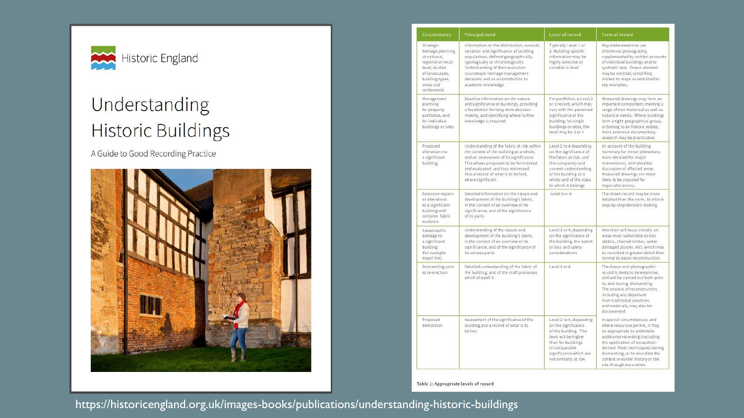

# Understanding **Historic Buildings**

A Guide to Good Recording Practice



| Circumstance                                                                                                                                           | Principal need                                                                                                                                                                                                                                                                                        | Level of record                                                                                                                                                                                     | Form of record                                                                                                                                                                                                                                                                                                 |
|--------------------------------------------------------------------------------------------------------------------------------------------------------|-------------------------------------------------------------------------------------------------------------------------------------------------------------------------------------------------------------------------------------------------------------------------------------------------------|-----------------------------------------------------------------------------------------------------------------------------------------------------------------------------------------------------|----------------------------------------------------------------------------------------------------------------------------------------------------------------------------------------------------------------------------------------------------------------------------------------------------------------|
| Strategic<br>heritage planning<br>at national.<br>regional or local<br>level; studies<br>of landscapes,<br>building types,<br>areas and<br>settlements | Information on the distribution, survival,<br>variation and significance of building<br>populations, defined geographically,<br>typologically or chronologically.<br>Understanding of their evolution,<br>to underpin heritage management<br>decisions and as a contribution to<br>academic knowledge | Typically Level 1 or<br>2. Building-specific<br>information may be<br>highly selective or<br>variable in level                                                                                      | May make extensive use<br>of external photography,<br>supplemented by written accounts<br>of individual buildings and/or<br>synthetic text. Drawn element<br>may be omitted, simplified,<br>limited to maps or restricted to<br>key examples.                                                                  |
| Management<br>planning<br>for property<br>portfolios, and<br>for individual<br>buildings or sites                                                      | Baseline information on the nature<br>and significance of buildings, providing<br>a foundation for long-term decision-<br>making, and identifying where further<br>knowledge is required                                                                                                              | For portfolios, a Level 2<br>or 3 record, which may<br>vary with the perceived<br>significance of the<br>building; for single<br>buildings or sites, the<br>level may be 3 or 4                     | Measured drawings may form an<br>important component, meeting a<br>range of non-historical as well as<br>historical needs. Where buildings<br>form a tight geographical group,<br>or belong to an historic estate,<br>more extensive documentary<br>research may be practicable.                               |
| Proposed<br>alterations to<br>a significant<br>building                                                                                                | Understanding of the fabric at risk within<br>the context of the building as a whole.<br>and an assessment of its significance.<br>This allows proposals to be formulated<br>and evaluated, and loss minimised.<br>Also a record of what is to be lost.<br>where significant.                         | Level 2 to 4 depending<br>on the significance of<br>the fabric at risk, and<br>the complexity and<br>current understanding<br>of the building as a<br>whole and of the class<br>to which it belongs | An account of the building<br>(summary for minor alterations,)<br>more detailed for major<br>intervention), with detailed<br>discussion of affected areas.<br>Measured drawings are more<br>likely to be required for<br>major alterations.                                                                    |
| Extensive repairs<br>or alterations<br>to a significant<br>building with<br>complex fabric<br>evidence                                                 | Detailed information on the nature and<br>development of the building's fabric.<br>in the context of an overview of its<br>significance, and of the significance<br>of its parts                                                                                                                      | Level 3 or 4                                                                                                                                                                                        | The drawn record may be more<br>detailed than the norm, to inform<br>step-by-step decision-making.                                                                                                                                                                                                             |
| Catastrophic<br>damage to<br>a significant<br>building<br>(for example)<br>major fire)                                                                 | Understanding of the nature and<br>development of the building's fabric,<br>in the context of an overview of its<br>significance, and of the significance of<br>its various parts                                                                                                                     | Level 3 or 4, depending<br>on the significance of<br>the building, the extent<br>of loss and safety<br>considerations                                                                               | Attention will focus initially on<br>areas most vulnerable to loss<br>(debris, charred timber, water-<br>damaged plaster, etc), which may<br>be recorded in greater detail than<br>normal to assist reconstruction.                                                                                            |
| Dismantling prior<br>to re-erection                                                                                                                    | Detailed understanding of the fabric of<br>the building, and of the craft processes<br>which shaped it                                                                                                                                                                                                | Level 3 or 4                                                                                                                                                                                        | The drawn and photographic<br>record is likely to be extensive,<br>and will be carried out both prior<br>to, and during, dismantling.<br>The process of reconstruction,<br>including any departure<br>from traditional practices<br>and materials, may also be<br>documented.                                  |
| Proposed<br>demolition                                                                                                                                 | Assessment of the significance of the<br>building and a record of what is to<br>be lost                                                                                                                                                                                                               | Level 2 to 4, depending<br>on the significance<br>of the building. The<br>level will be higher<br>than for buildings<br>of comparable<br>significance which are<br>not similarly at risk            | In special circumstances, and<br>where resources permit, it may<br>be appropriate to undertake<br>additional recording (including<br>the application of excavation-<br>derived 'finds' techniques) during<br>dismantling, or to elucidate the<br>context or earlier history of the<br>site through excavation. |

Table 1: Appropriate levels of record

https://historicengland.org.uk/images-books/publications/understanding-historic-buildings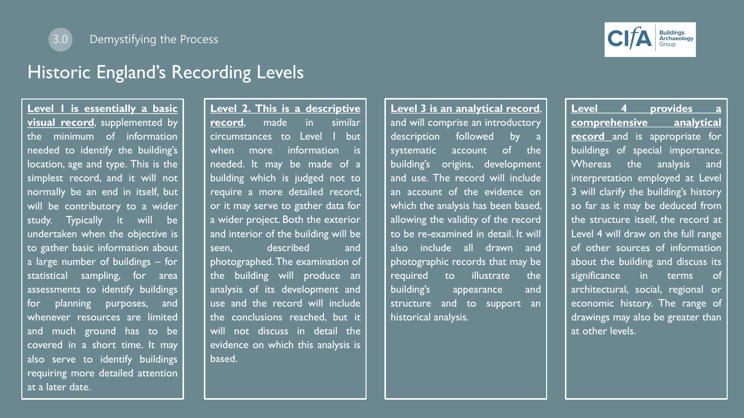

#### 3.0 Demystifying the Process

#### Historic England's Recording Levels

**Level 1 is essentially a basic visual record**, supplemented by the minimum of information needed to identify the building's location, age and type. This is the simplest record, and it will not normally be an end in itself, but will be contributory to a wider study. Typically it will be undertaken when the objective is to gather basic information about a large number of buildings – for statistical sampling, for area assessments to identify buildings for planning purposes, and whenever resources are limited and much ground has to be covered in a short time. It may also serve to identify buildings requiring more detailed attention at a later date.

**Level 2. This is a descriptive record**, made in similar circumstances to Level | but when more information is needed. It may be made of a building which is judged not to require a more detailed record, or it may serve to gather data for a wider project. Both the exterior and interior of the building will be seen, described and photographed.The examination of the building will produce an analysis of its development and use and the record will include the conclusions reached, but it will not discuss in detail the evidence on which this analysis is based.

**Level 3 is an analytical record**, and will comprise an introductory description followed by a systematic account of the building's origins, development and use. The record will include an account of the evidence on which the analysis has been based, allowing the validity of the record to be re-examined in detail. It will also include all drawn and photographic records that may be required to illustrate the building's appearance and structure and to support an historical analysis.

**Level 4 provides a comprehensive analytical record** and is appropriate for buildings of special importance. Whereas the analysis and interpretation employed at Level 3 will clarify the building's history so far as it may be deduced from the structure itself, the record at Level 4 will draw on the full range of other sources of information about the building and discuss its significance in terms of architectural, social, regional or economic history. The range of drawings may also be greater than at other levels.